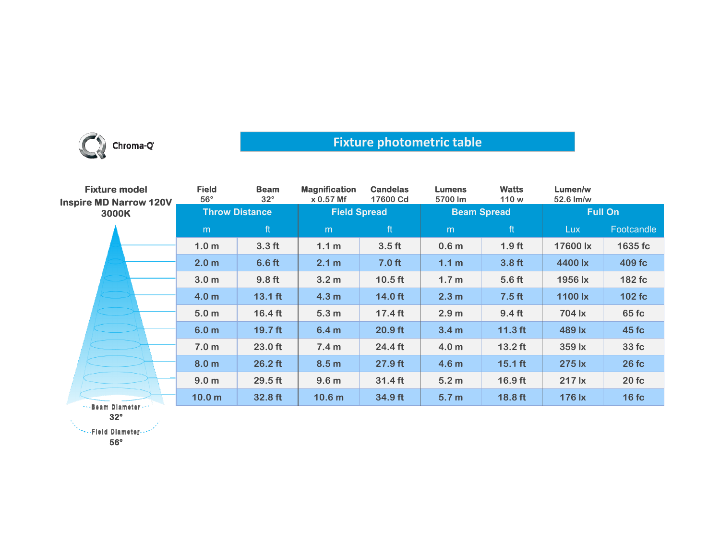

## **Fixture photometric table**

| <b>Fixture model</b><br><b>Inspire MD Narrow 120V</b> | <b>Field</b><br>$56^{\circ}$ | <b>Beam</b><br>$32^\circ$ | <b>Magnification</b><br>$x 0.57$ Mf | <b>Candelas</b><br>17600 Cd | <b>Lumens</b><br>5700 lm | <b>Watts</b><br>110 w | Lumen/w<br>52.6 lm/w |              |
|-------------------------------------------------------|------------------------------|---------------------------|-------------------------------------|-----------------------------|--------------------------|-----------------------|----------------------|--------------|
| 3000K                                                 | <b>Throw Distance</b>        |                           | <b>Field Spread</b>                 |                             | <b>Beam Spread</b>       |                       | <b>Full On</b>       |              |
|                                                       | m                            | ft                        | m                                   | ft                          | m                        | ft                    | <b>Lux</b>           | Footcandle   |
|                                                       | 1.0 <sub>m</sub>             | 3.3 <sub>ft</sub>         | 1.1 <sub>m</sub>                    | 3.5 <sub>ft</sub>           | 0.6 <sub>m</sub>         | 1.9 <sub>ft</sub>     | 17600 lx             | 1635 fc      |
|                                                       | 2.0 <sub>m</sub>             | 6.6 <sub>ft</sub>         | 2.1 m                               | 7.0 <sub>ft</sub>           | 1.1 <sub>m</sub>         | 3.8 <sub>ft</sub>     | 4400 lx              | 409 fc       |
|                                                       | 3.0 <sub>m</sub>             | 9.8 <sub>ft</sub>         | 3.2 <sub>m</sub>                    | $10.5$ ft                   | 1.7 <sub>m</sub>         | 5.6 <sub>ft</sub>     | 1956 lx              | 182 fc       |
|                                                       | 4.0 <sub>m</sub>             | $13.1$ ft                 | 4.3 <sub>m</sub>                    | $14.0$ ft                   | 2.3 <sub>m</sub>         | 7.5 <sub>ft</sub>     | 1100 $\mathsf{lx}$   | 102 fc       |
|                                                       | 5.0 <sub>m</sub>             | $16.4 \text{ ft}$         | 5.3 <sub>m</sub>                    | $17.4$ ft                   | 2.9 <sub>m</sub>         | 9.4 <sub>ft</sub>     | 704 lx               | 65 fc        |
|                                                       | 6.0 <sub>m</sub>             | $19.7$ ft                 | 6.4 <sub>m</sub>                    | $20.9$ ft                   | 3.4 <sub>m</sub>         | $11.3$ ft             | 489 lx               | 45 fc        |
|                                                       | 7.0 <sub>m</sub>             | $23.0$ ft                 | 7.4 <sub>m</sub>                    | $24.4 \text{ ft}$           | 4.0 <sub>m</sub>         | $13.2$ ft             | 359 lx               | 33 fc        |
|                                                       | 8.0 <sub>m</sub>             | $26.2$ ft                 | 8.5 <sub>m</sub>                    | 27.9 ft                     | 4.6 <sub>m</sub>         | $15.1$ ft             | 275 lx               | <b>26 fc</b> |
|                                                       | 9.0 <sub>m</sub>             | $29.5$ ft                 | 9.6 <sub>m</sub>                    | $31.4$ ft                   | 5.2 <sub>m</sub>         | $16.9$ ft             | 217 lx               | 20fc         |
| Boom Blometon                                         | 10.0 <sub>m</sub>            | 32.8 ft                   | 10.6 <sub>m</sub>                   | 34.9 ft                     | 5.7 <sub>m</sub>         | 18.8 ft               | 176 lx               | 16fc         |

\*\*\*Beam Diameter\*\*\* **32°**

**56°**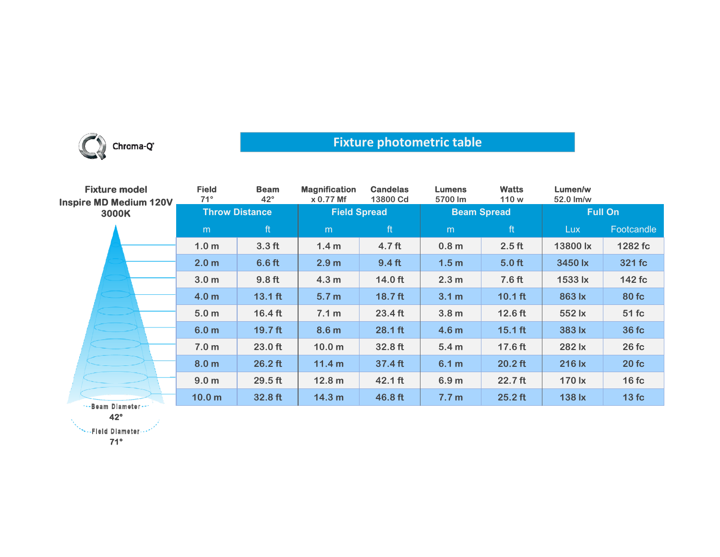

## **Fixture photometric table**

| <b>Fixture model</b><br><b>Inspire MD Medium 120V</b><br>3000K | <b>Field</b><br>$71^\circ$ | <b>Beam</b><br>$42^\circ$ | <b>Magnification</b><br>x 0.77 Mf | <b>Candelas</b><br>13800 Cd | <b>Lumens</b><br>5700 lm | <b>Watts</b><br>110 w | Lumen/w<br>52.0 lm/w |              |
|----------------------------------------------------------------|----------------------------|---------------------------|-----------------------------------|-----------------------------|--------------------------|-----------------------|----------------------|--------------|
|                                                                | <b>Throw Distance</b>      |                           | <b>Field Spread</b>               |                             | <b>Beam Spread</b>       |                       | <b>Full On</b>       |              |
|                                                                | m                          | ft                        | m                                 | ft                          | m                        | ft                    | Lux.                 | Footcandle   |
|                                                                | 1.0 <sub>m</sub>           | 3.3 <sub>ft</sub>         | 1.4 <sub>m</sub>                  | 4.7 ft                      | 0.8 <sub>m</sub>         | $2.5$ ft              | 13800 lx             | 1282 fc      |
|                                                                | 2.0 <sub>m</sub>           | 6.6 <sub>ft</sub>         | 2.9 <sub>m</sub>                  | 9.4 <sub>ft</sub>           | 1.5 <sub>m</sub>         | 5.0 <sub>ft</sub>     | 3450 lx              | 321 fc       |
|                                                                | 3.0 <sub>m</sub>           | 9.8 <sub>ft</sub>         | 4.3 <sub>m</sub>                  | $14.0$ ft                   | 2.3 <sub>m</sub>         | 7.6 <sub>ft</sub>     | 1533 lx              | 142 fc       |
|                                                                | 4.0 <sub>m</sub>           | $13.1$ ft                 | 5.7 <sub>m</sub>                  | $18.7$ ft                   | 3.1 <sub>m</sub>         | $10.1$ ft             | 863 lx               | 80 fc        |
|                                                                | 5.0 <sub>m</sub>           | $16.4$ ft                 | 7.1 m                             | 23.4 ft                     | 3.8 <sub>m</sub>         | $12.6$ ft             | 552 lx               | 51 fc        |
|                                                                | 6.0 <sub>m</sub>           | $19.7$ ft                 | 8.6 <sub>m</sub>                  | $28.1$ ft                   | 4.6 <sub>m</sub>         | $15.1$ ft             | 383 lx               | <b>36 fc</b> |
|                                                                | 7.0 <sub>m</sub>           | $23.0$ ft                 | 10.0 <sub>m</sub>                 | 32.8 ft                     | 5.4 <sub>m</sub>         | 17.6 ft               | 282 lx               | 26fc         |
|                                                                | 8.0 <sub>m</sub>           | $26.2$ ft                 | 11.4 m                            | 37.4 ft                     | 6.1 m                    | $20.2$ ft             | 216 lx               | 20fc         |
|                                                                | 9.0 <sub>m</sub>           | $29.5$ ft                 | 12.8 <sub>m</sub>                 | $42.1$ ft                   | 6.9 <sub>m</sub>         | 22.7 ft               | 170 lx               | 16fc         |
| s. Baam Blamatar                                               | 10.0 <sub>m</sub>          | 32.8 ft                   | 14.3 <sub>m</sub>                 | 46.8 ft                     | 7.7 <sub>m</sub>         | $25.2$ ft             | 138 lx               | 13fc         |

<mark>--Beam Diameter-</mark> **42°**

\*\*\*\*\*Fleid Diameter --\*\*

**71°**